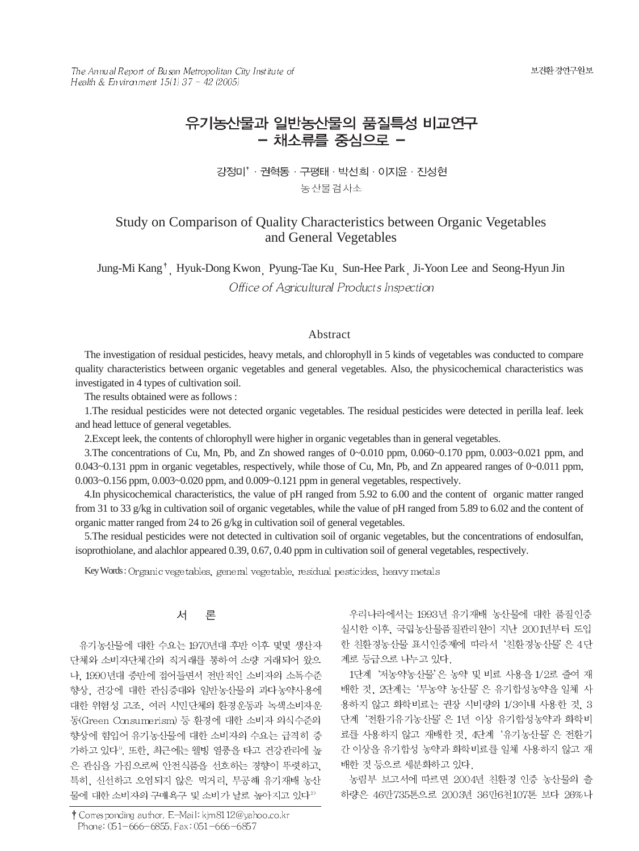보건환경연구원보

The Annual Report of Busan Metropolitan City Institute of Health & Environment 15(1) 37 ~ 42 (2005)

# 유기농산물과 일반농산물의 품질특성 비교연구 - 채소류를 중식으로 -

강정미<sup>\*</sup> · 권혁동 · 구평태 · 박선희 · 이지윤 · 진성현 농산물검사소

## Study on Comparison of Quality Characteristics between Organic Vegetables and General Vegetables

Jung-Mi Kang<sup>†</sup>, Hyuk-Dong Kwon, Pyung-Tae Ku, Sun-Hee Park, Ji-Yoon Lee and Seong-Hyun Jin Office of Agricultural Products Inspection

#### Abstract

The investigation of residual pesticides, heavy metals, and chlorophyll in 5 kinds of vegetables was conducted to compare quality characteristics between organic vegetables and general vegetables. Also, the physicochemical characteristics was investigated in 4 types of cultivation soil.

The results obtained were as follows :

1.The residual pesticides were not detected organic vegetables. The residual pesticides were detected in perilla leaf. leek and head lettuce of general vegetables.

2.Except leek, the contents of chlorophyll were higher in organic vegetables than in general vegetables.

3.The concentrations of Cu, Mn, Pb, and Zn showed ranges of 0~0.010 ppm, 0.060~0.170 ppm, 0.003~0.021 ppm, and 0.043~0.131 ppm in organic vegetables, respectively, while those of Cu, Mn, Pb, and Zn appeared ranges of 0~0.011 ppm, 0.003~0.156 ppm, 0.003~0.020 ppm, and 0.009~0.121 ppm in general vegetables, respectively.

4.In physicochemical characteristics, the value of pH ranged from 5.92 to 6.00 and the content of organic matter ranged from 31 to 33 g/kg in cultivation soil of organic vegetables, while the value of pH ranged from 5.89 to 6.02 and the content of organic matter ranged from 24 to 26 g/kg in cultivation soil of general vegetables.

5.The residual pesticides were not detected in cultivation soil of organic vegetables, but the concentrations of endosulfan, isoprothiolane, and alachlor appeared 0.39, 0.67, 0.40 ppm in cultivation soil of general vegetables, respectively.

Key Words: Organic vegetables, general vegetable, residual pesticides, heavy metals

#### 서 론

유기농산물에 대한 수요는 1970년대 후반 이후 몇몇 생산자 단체와 소비자단체간의 직거래를 통하여 소량 거래되어 왔으 나, 1990년대 중반에 접어들면서 전반적인 소비자의 소득수준 향상, 건강에 대한 관심증대와 일반농산물의 과다농약사용에 대한 위험성 고조, 여러 시민단체의 환경운동과 녹색소비자운 동(Green Consumerism) 등 환경에 대한 소비자 의식수준의 향상에 힘입어 유기농산물에 대한 소비자의 수요는 급격히 증 가하고 있다". 또한, 최근에는 웰빙 열풍을 타고 건강관리에 높 은 관심을 가짐으로써 안전식품을 선호하는 경향이 뚜렷하고, 특히, 신선하고 오염되지 않은 먹거리, 무공해 유기재배 농산 물에 대한 소비자의 구매욕구 및 소비가 날로 높아지고 있다<sup>2)</sup>

† Corresponding author. E-Mail: kjm8112@yahoo.co.kr Phone: 051-666-6855, Fax: 051-666-6857

우리나라에서는 1993년 유기재배 농산물에 대한 품질인증 실시한 이후, 국립농산물품질관리원이 지난 2001년부터 도입 한 친환경농산물 표시인증제에 따라서 '친환경농산물'은 4단 계로 등급으로 나누고 있다.

1단계 '저농약농산물'은 농약 및 비료 사용을 1/2로 줄여 재 배한 것, 2단계는 '무농약 농산물'은 유기합성농약을 일체 사 용하지 않고 화학비료는 권장 시비량의 1/3이내 사용한 것, 3 단계 '전환기유기농산물' 은 1년 이상 유기합성농약과 화학비 료를 사용하지 않고 재배한 것, 4단계 '유기농산물'은 전환기 간 이상을 유기합성 농약과 화학비료를 일체 사용하지 않고 재 배한 것 등으로 세분화하고 있다.

농림부 보고서에 따르면 2004년 친환경 인증 농산물의 출 하량은 46만735톤으로 2003년 36만6천107톤 보다 26%나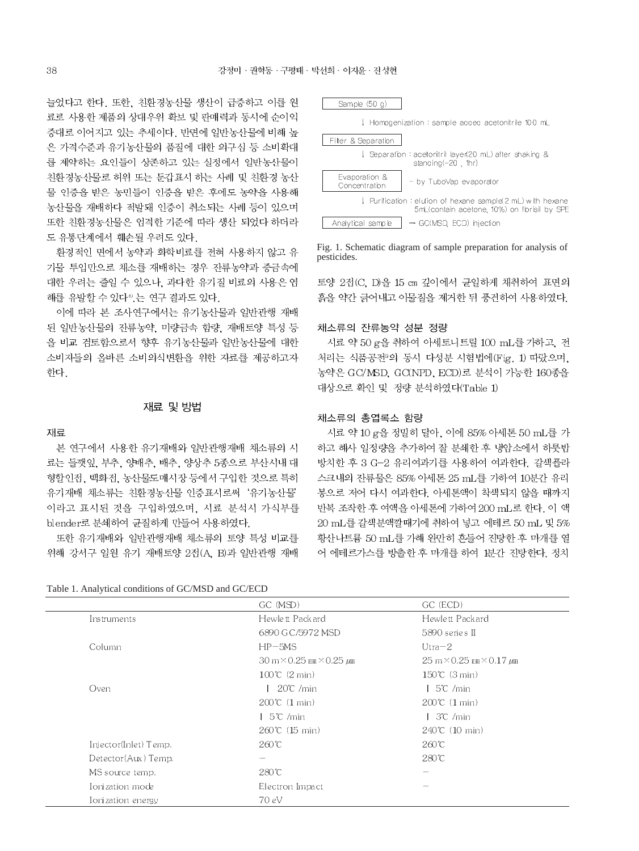늘었다고 한다. 또한, 친환경농산물 생산이 급증하고 이를 원 료로 사용한 제품의 상대우위 확보 및 판매력과 동시에 순이익 증대로 이어지고 있는 추세이다. 반면에 일반농산물에 비해 높 은 가격수준과 유기농산물의 품질에 대한 의구심 등 소비확대 를 제약하는 요인들이 상존하고 있는 실정에서 일반농산물이 친환경농산물로 허위 또는 둔갑표시 하는 사례 및 친환경 농산 물 인증을 받은 농민들이 인증을 받은 후에도 농약을 사용해 농산물을 재배하다 적발돼 인증이 취소되는 사례 등이 있으며 또한 친환경농산물은 엄격한 기준에 따라 생산 되었다 하더라 도 유통단계에서 훼손될 우려도 있다.

환경적인 면에서 농약과 화학비료를 전혀 사용하지 않고 유 기물 투입만으로 채소를 재배하는 경우 잔류농약과 중금속에 대한 우려는 줄일 수 있으나, 과다한 유기질 비료의 사용은 염 해를 유발할 수 있다<sup>6</sup> 는 연구 결과도 있다.

이에 따라 본 조사연구에서는 유기농산물과 일반관행 재배 된 일반농산물의 잔류농약, 미량금속 함량, 재배토양 특성 등 을 비교 검토함으로서 향후 유기농산물과 일반농산물에 대한 소비자들의 올바른 소비의식변환을 위한 자료를 제공하고자 한다.

#### 재료 및 방법

#### 재료

본 연구에서 사용한 유기재배와 일반관행재배 채소류의 시 료는 들깻잎, 부추, 양배추, 배추, 양상추 5종으로 부산시내 대 형할인접, 백화접, 농산물도매시장 등에서 구입한 것으로 특히 유기재배 채소류는 친환경농산물 인증표시로써 '유기농산물' 이라고 표시된 것을 구입하였으며, 시료 분석시 가식부를 blender로 분쇄하여 균질하게 만들어 사용하였다.

또한 유기재배와 일반관행재배 채소류의 토양 특성 비교를 위해 강서구 일원 유기 재배토양 2점(A, B)과 일반관행 재배

Table 1. Analytical conditions of GC/MSD and GC/ECD

Sample (50 g) Homogenization : sample accec acetonitrile 100 mL Filter & Separation Separation : acetonitril layer(20 mL) after shaking & standing(-20, thr) Evaporation & by TuboVap evaporator Concentration Purification : elution of hexane sample(2 mL) with hexane 5mL(contain acetone, 10%) on florisil by SPE Analytical sample → GC(MSD, ECD) injection

Fig. 1. Schematic diagram of sample preparation for analysis of pesticides.

토양 2점(C, D)을 15 cm 깊이에서 균일하게 채취하여 표면의 흙을 약간 긁어내고 이물질을 제거한 뒤 풍건하여 사용하였다.

#### 채소류의 잔류농약 성분 정량

시료 약 50 g을 취하여 아세토니트릴 100 mL를 가하고, 전 처리는 식품공전 의 동시 다성분 시험법에(Fig. 1) 따랐으며, 농약은 GC/MSD, GC(NPD, ECD)로 분석이 가능한 160종을 대상으로 확인 및 정량 분석하였다(Table 1)

#### 채소류의 총엽록소 함량

시료 약 10 g을 정밀히 달아, 이에 85% 아세톤 50 mL를 가 하고 해사 일정량을 추가하여 잘 분쇄한 후 냉암소에서 하룻밤 방치한 후 3 G-2 유리여과기를 사용하여 여과한다. 갈색플라 스크내의 잔류물은 85% 아세톤 25 mL를 가하여 10분간 유리 봉으로 저어 다시 여과한다. 아세톤액이 착색되지 않을 때까지 반복 조작한 후 여액을 아세톤에 가하여 200 mL로 한다. 이 액 20 mL를 갈색분액깔때기에 취하여 넣고 에테르 50 mL 및 5% 황산나트륨 50 mL를 가해 완만히 흔들어 진탕한 후 마개를 열 어 에테르가스를 방출한 후 마개를 하여 1분간 진탕한다. 정치

|                       | GC (MSD)                                                     | GC (ECD)                                                     |  |
|-----------------------|--------------------------------------------------------------|--------------------------------------------------------------|--|
| Instruments           | Hewlett Packard                                              | Hewlett Packard                                              |  |
|                       | 6890 G C/5972 MSD                                            | 5890 series II                                               |  |
| Column                | $HP-5MS$                                                     | $Utra - 2$                                                   |  |
|                       | $30 \text{ m} \times 0.25 \text{ nm} \times 0.25 \text{ nm}$ | $25 \text{ m} \times 0.25 \text{ nm} \times 0.17 \text{ mm}$ |  |
|                       | $100^{\circ}$ (2 min)                                        | $150^{\circ}$ (3 min)                                        |  |
| Oven                  | $20^{\circ}$ /min                                            | 5°C /min                                                     |  |
|                       | $200^{\circ}$ (1 min)                                        | $200^{\circ}$ (1 min)                                        |  |
|                       | 5℃ /min                                                      | 3°C /min                                                     |  |
|                       | $260^{\circ}$ (15 min)                                       | $240^{\circ}$ (10 min)                                       |  |
| Injector(Inlet) Temp. | $260^{\circ}$ C                                              | 260℃                                                         |  |
| Detector(Aux) Temp.   |                                                              | 280℃                                                         |  |
| MS source temp.       | 280℃                                                         |                                                              |  |
| Ionization mode       | Electron Impact                                              |                                                              |  |
| Ionization energy     | 70 eV                                                        |                                                              |  |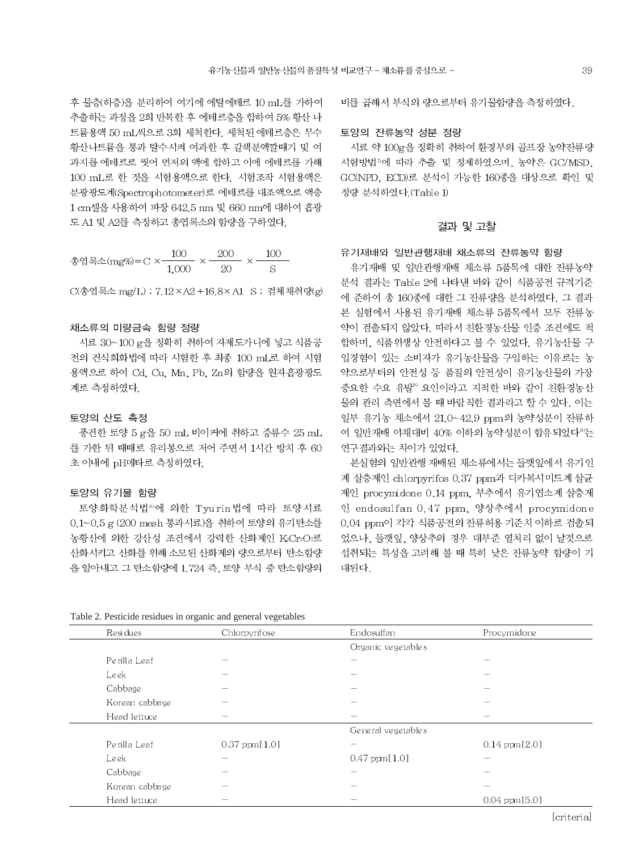후 물층(하층)을 분리하여 여기에 에틸에테르 10 mL를 가하여 추출하는 과정을 2회 반복한 후 에테르층을 합하여 5% 황산 나 트륨용액 50 mL씩으로 3회 세척한다. 세척된 에테르층은 무수 황산나트륨을 통과 탈수시켜 여과한 후 갈색분액깔때기 및 여 과지를 에테르로 씻어 먼저의 액에 합하고 이에 에테르를 가해 100 mL로 한 것을 시험용액으로 한다. 시험조작 시험용액은 분광광도계(Spectrophotometer)로 에테르를 대조액으로 액층 1 cm셀을 사용하여 파장 642.5 nm 및 660 nm에 대하여 흡광 도 A1 및 A2를 측정하고 총엽록소의 함량을 구하였다.

종업록소(mg%)=C × 
$$
\frac{100}{1,000}
$$
 ×  $\frac{200}{20}$  ×  $\frac{100}{S}$ 

○ 종엽록소 mg/L) : 7.12 × A2 + 16.8 × A1 S : 검체채취량(g)

#### 채소류의 미량금속 함량 정량

시료 30~100 g을 정확히 취하여 자제도가니에 넣고 식품공 전의 건식회화법에 따라 시험한 후 최종 100 mL로 하여 시험 용액으로 하여 Cd. Cu. Mn. Pb. Zn의 함량을 원자흡광광도 계로 측정하였다.

#### 토양의 산도 측정

풍건한 토양 5 g을 50 mL 비이커에 취하고 증류수 25 mL 를 가한 뒤 때때로 유리봉으로 저어 주면서 1시간 방치 후 60 초 이내에 pH메타로 측정하였다.

#### 토양의 유기물 함량

토양화학분석법®에 의한 Tyurin 법에 따라 토양시료 0.1~0.5 g (200 mesh 통과시료)을 취하여 토양의 유기탄소를 농황산에 의한 강산성 조건에서 강력한 산화제인 KcCr2Or로 산화시키고 산화를 위해 소모된 산화제의 량으로부터 탄소함량 을 알아내고 그 탄소함량에 1.724 즉, 토양 부식 중 탄소함량의

비를 곱해서 부식의 량으로부터 유기물함량을 측정하였다.

#### 토양의 잔류농약 성분 정량

시료 약 100g을 정확히 취하여 환경부의 골프장 농약잔류량 시험방법<sup>7</sup>에 따라 추출 및 정제하였으며, 농약은 GC/MSD, GC(NPD, ECD)로 분석이 가능한 160종을 대상으로 확인 및 정량 분석하였다. (Table 1)

#### 결과 및 고찰

유기재배와 일반관행재배 채소류의 잔류농약 함량

유기재배 및 일반관행재배 채소류 5품목에 대한 잔류농약 분석 결과는 Table 2에 나타낸 바와 같이 식품공전 규격기준 에 준하여 총 160종에 대한 그 잔류량을 분석하였다. 그 결과 본 실험에서 사용된 유기재배 채소류 5품목에서 모두 잔류농 약이 검출되지 않았다. 따라서 친환경농산물 인증 조건에도 적 합하며, 식품위생상 안전하다고 볼 수 있었다. 유기농산물 구 입경험이 있는 소비자가 유기농산물을 구입하는 이유로는 농 약으로부터의 안전성 등 품질의 안전성이 유기농산물의 가장 중요한 수요 유발" 요인이라고 지적한 바와 같이 친환경농산 물의 관리 측면에서 볼 때 바람직한 결과라고 할 수 있다. 이는 일부 유기농 채소에서 21.0~42.9 ppm의 농약성분이 잔류하 여 일반재배 야채대비 40% 이하의 농약성분이 함유되었다<sup>83</sup>는 연구결과와는 차이가 있었다.

본실험의 일반관행 재배된 채소류에서는 들깻잎에서 유기인 계 살충제인 chlorpyrifos 0.37 ppm과 디카복시미드계 살균 제인 procymidone 0.14 ppm, 부추에서 유기염소계 살충제 인 endosulfan 0.47 ppm, 양상추에서 procymidone 0.04 ppm이 각각 식품공전의 잔류허용 기준치 이하로 검출되 었으나, 들깻잎, 양상추의 경우 대부준 열처리 없이 날것으로 섭취되는 특성을 고려해 볼 때 특히 낮은 잔류농약 함량이 기 대된다.

| Residues       | Chlorpyrifose            | Endosulfan               | Procymidone              |  |  |
|----------------|--------------------------|--------------------------|--------------------------|--|--|
|                |                          | Organic vegetables       |                          |  |  |
| Perilla Leaf   | -                        |                          |                          |  |  |
| Leek           | $\overline{\phantom{a}}$ |                          |                          |  |  |
| Cabbage        |                          |                          |                          |  |  |
| Korean cabbage |                          |                          |                          |  |  |
| Head lettuce   | $\overline{\phantom{0}}$ |                          |                          |  |  |
|                |                          | General vegetables       |                          |  |  |
| Perilla Leaf   | $0.37$ ppm $[1.0]$       |                          | $0.14$ ppm $[2.0]$       |  |  |
| Leek           |                          | $0.47$ ppm $[1.0]$       |                          |  |  |
| Cabbage        |                          |                          |                          |  |  |
| Korean cabbage |                          |                          |                          |  |  |
| Hoad lottuco   | $\overline{\phantom{a}}$ | $\overline{\phantom{a}}$ | $0.04 \text{ mm}$ $5.01$ |  |  |

Table 2. Pesticide residues in organic and general vegetables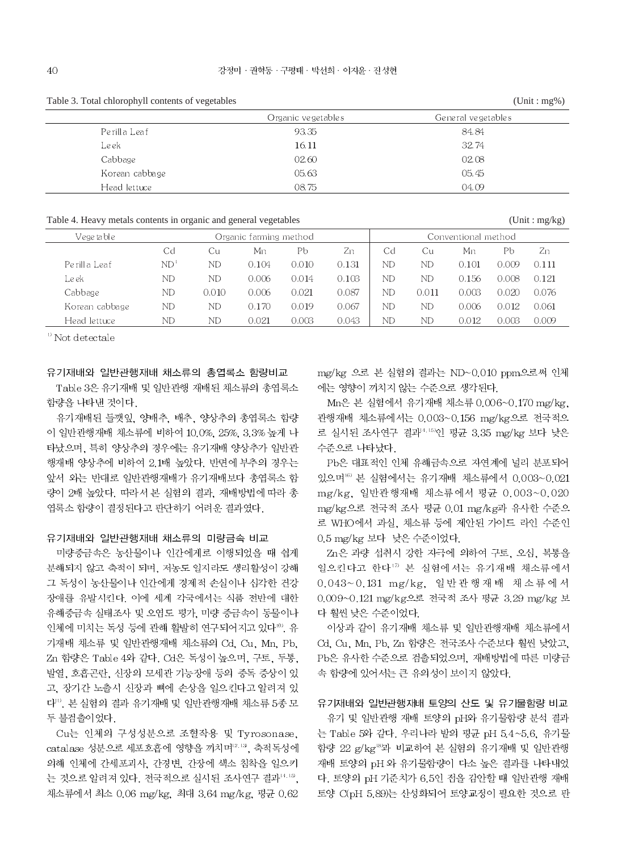Table 3. Total chlorophyll contents of vegetables  $(Unit : mg%)$ General vegetables Organic vegetables 93.35 84.84 Perilla Leaf Leek 16.11 32.74 02.08 Cabbage 02.60 Korean cabbage 05.63 05.45 Head lettuce 08.75 04.09

Table 4. Heavy metals contents in organic and general vegetables

| Vege ta bl e-  | Organic farming method |       |       | Conventional method |       |    |       |       |       |       |
|----------------|------------------------|-------|-------|---------------------|-------|----|-------|-------|-------|-------|
|                | Cd                     | Сu    | Mn    | Рb                  | Zn    | Cd | Сu    | Mn    | Pb    | Zn    |
| Perilla Leaf   | ND <sup>1</sup>        | ND    | 0.104 | 0.010               | 0.131 | ND | ND    | 0.101 | 0.009 | 0.111 |
| Leek           | ND                     | ND    | 0.006 | 0.014               | 0.103 | ND | ND    | 0.156 | 0.008 | 0.121 |
| Cabbage        | ND                     | 0.010 | 0.006 | 0.021               | 0.087 | ND | 0.011 | 0.003 | 0.020 | 0.076 |
| Korean cabbage | ND                     | ND    | 0.170 | 0.019               | 0.067 | ND | ND    | 0.006 | 0.012 | 0.061 |
| Head lettuce   | ND                     | ND.   | 0.021 | 0.003               | 0.043 | ND | ND    | 0.012 | 0.003 | 0.009 |

<sup>1</sup> Not detectale

#### 유기재배와 일반관행재배 채소류의 총엽록소 함량비교

Table 3은 유기재배 및 일반관행 재배된 채소류의 총엽록소 함량을 나타낸 것이다.

유기재배된 들깻잎, 양배추, 배추, 양상추의 총엽록소 함량 이 일반관행재배 채소류에 비하여 10.0%, 25%, 3.3% 높게 나 타났으며, 특히 양상추의 경우에는 유기재배 양상추가 일반관 행재배 양상추에 비하여 2.1배 높았다. 반면에 부추의 경우는 앞서 와는 반대로 일반관행재배가 유기재배보다 총엽록소 함 량이 2배 높았다. 따라서 본 실험의 결과, 재배방법에 따라 총 엽록소 함량이 결정된다고 판단하기 어려운 결과였다.

#### 유기재배와 일반관행재배 채소류의 미량금속 비교

미량중금속은 농산물이나 인간에게로 이행되었을 때 쉽게 분해되지 않고 축적이 되며, 저농도 일지라도 생리활성이 강해 그 독성이 농산물이나 인간에게 경제적 손실이나 심각한 건강 장애를 유발시킨다. 이에 세계 각국에서는 식품 전반에 대한 유해중금속 실태조사 및 오염도 평가, 미량 중금속이 동물이나 인체에 미치는 독성 등에 관해 활발히 연구되어지고 있다". 유 기재배 채소류 및 일반관행재배 채소류의 Cd. Cu. Mn. Pb. Zn 함량은 Table 4와 같다. Cd은 독성이 높으며, 구토, 두통, 발열, 호흡곤란, 신장의 모세관 기능장애 등의 중독 증상이 있 고, 장기간 노출시 신장과 뼈에 손상을 일으킨다고 알려져 있 다". 본 실험의 결과 유기재배 및 일반관행재배 채소류 5종 모 두 불검출이었다.

Cu는 인체의 구성성분으로 조혈작용 및 Tyrosonase. catalase 성분으로 세포호흡에 영향을 끼치며<sup>12,13</sup>, 축적독성에 의해 인체에 간세포괴사, 간경변, 간장에 색소 침착을 일으키 는 것으로 알려져 있다. 전국적으로 실시된 조사연구 결과 4.15, 채소류에서 최소 0.06 mg/kg, 최대 3.64 mg/kg, 평균 0.62

mg/kg 으로 본 실험의 결과는 ND~0.010 ppm으로써 인체 에는 영향이 끼치지 않는 수준으로 생각된다.

Mn은 본 실험에서 유기재배 채소류 0.006~0.170 mg/kg. 관행재배 채소류에서는 0.003~0.156 mg/kg으로 전국적으 로 실시된 조사연구 결과<sup>4,15)</sup>인 평균 3.35 mg/kg 보다 낮은 수준으로 나타났다.

Pb은 대표적인 인체 유해금속으로 자연계에 널리 분포되어 있으며 <sup>16)</sup> 본 실험에서는 유기재배 채소류에서 0.003~0.021 mg/kg. 일반관행재배 채소류에서 평균 0.003~0.020 mg/kg으로 전국적 조사 평균 0.01 mg/kg과 유사한 수준으 로 WHO에서 과실, 채소류 등에 제안된 가이드 라인 수준인 0.5 mg/kg 보다 낮은 수준이었다.

Zn은 과량 섭취시 강한 자극에 의하여 구토, 오십, 복통을 일으킨다고 한다" 본 실험에서는 유기재배 채소류에서 0.043~0.131 mg/kg, 일반관행재배 채소류에서 0.009~0.121 mg/kg으로 전국적 조사 평균 3.29 mg/kg 보 다 훨씬 낮은 수준이었다.

이상과 같이 유기재배 채소류 및 일반관행재배 채소류에서 Cd. Cu. Mn. Pb. Zn 함량은 전국조사 수준보다 훨씬 낮았고. Pb은 유사한 수준으로 검출되었으며, 재배방법에 따른 미량금 속 함량에 있어서는 큰 유의성이 보이지 않았다.

### 유기재배와 일반관행재배 토양의 산도 및 유기물함량 비교

유기 및 일반관행 재배 토양의 pH와 유기물함량 분석 결과 는 Table 5와 같다. 우리나라 밭의 평균 pH 5.4~5.6, 유기물 함량 22 g/kg<sup>18</sup>과 비교하여 본 실험의 유기재배 및 일반관행 재배 토양의 pH 와 유기물함량이 다소 높은 결과를 나타내었 다. 토양의 pH 기준치가 6.5인 접을 감안할 때 일반관행 재배 토양 C(pH 5.89)는 산성화되어 토양교정이 필요한 것으로 판

 $(Unit : mg/kg)$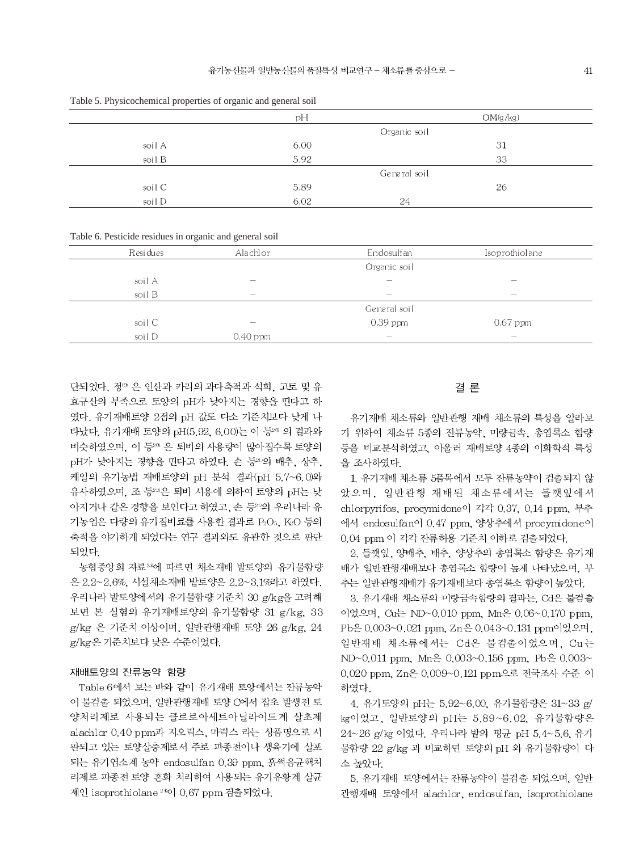|        | $\overline{\phantom{0}}$<br>$\overline{\phantom{a}}$ |              |          |
|--------|------------------------------------------------------|--------------|----------|
|        | рH                                                   |              | OM(g/kg) |
|        |                                                      | Organic soil |          |
| soil A | 6.00                                                 |              | 31       |
| soil B | 5.92                                                 |              | 33       |
|        |                                                      | General soil |          |
| soil C | 5.89                                                 |              | 26       |
| soil D | 6.02                                                 | 24           |          |
|        |                                                      |              |          |

Table 5. Physicochemical properties of organic and general soil

Table 6. Pesticide residues in organic and general soil

| Residues | Alachlor                 | Endosulfan                      | Isoprothiolane                  |  |
|----------|--------------------------|---------------------------------|---------------------------------|--|
|          |                          | Organic soil                    |                                 |  |
| soil A   | $\overline{\phantom{a}}$ | $\overline{\phantom{a}}$        | $\sim$                          |  |
| soil B   | $\sim$                   | $\sim$                          | $\overline{\phantom{a}}$        |  |
|          |                          | General soil                    |                                 |  |
| soil C   | $\overline{\phantom{a}}$ | $0.39$ ppm                      | $0.67$ ppm                      |  |
| soil D   | $0.40$ ppm               | $\hspace{0.1mm}-\hspace{0.1mm}$ | $\hspace{0.1mm}-\hspace{0.1mm}$ |  |

단되었다. 정® 은 인산과 카리의 과다축적과 석회. 고토 및 유 효규산의 부족으로 토양의 pH가 낮아지는 경향을 띤다고 하 였다. 유기재배토양 2점의 pH 값도 다소 기준치보다 낮게 나 타났다. 유기재배 토양의 pH(5.92, 6.00)는 이 등20 의 결과와 비슷하였으며, 이 등 은 퇴비의 사용량이 많아질수록 토양의 pH가 낮아지는 경향을 띤다고 하였다. 손 등20의 배추, 상추, 케일의 유기농법 재배토양의 pH 분석 결과(pH 5.7~6.0)와 유사하였으며, 조 등 의은 퇴비 시용에 의하여 토양의 pH는 낮 아지거나 같은 경향을 보인다고 하였고, 손 등20의 우리나라 유 기농업은 다량의 유기질비료를 사용한 결과로 P2O5, K2O 등의 축적을 야기하게 되었다는 연구 결과와도 유관한 것으로 판단 되었다.

농협중앙회 자료"'에 따르면 채소재배 밭토양의 유기물함량 은 2.2~2.6%, 시설채소재배 밭토양은 2.2~3.1%라고 하였다. 우리나라 밭토양에서의 유기물함량 기준치 30 g/kg을 고려해 보면 본 실험의 유기재배토양의 유기물함량 31 g/kg, 33 g/kg 은 기준치 이상이며, 일반관행재배 토양 26 g/kg, 24 g/kg은 기준치보다 낮은 수준이었다.

#### 재배토양의 잔류농약 함량

Table 6에서 보는 바와 같이 유기재배 토양에서는 잔류농약 이 불검출 되었으며, 일반관행재배 토양 C에서 잡초 발생전 토 양처리제로 사용되는 클로로아세트아닐라이드계 살초제 alachlor 0.40 ppm과 지오릭스, 마릭스 라는 상품명으로 시 판되고 있는 토양살충제로서 주로 파종전이나 생육기에 살포 되는 유기염소계 농약 endosulfan 0.39 ppm, 흙썩음균핵처 리제로 파종전 토양 혼화 처리하여 사용되는 유기유황계 살균 제인 isoprothiolane<sup>20</sup>이 0.67 ppm 검출되었다.

#### 결 론

유기재배 채소류와 일반관행 재배 채소류의 특성을 알라보 기 위하여 채소류 5종의 잔류농약, 미량금속, 총엽록소 함량 등을 비교분석하였고, 아울러 재배토양 4종의 이화학적 특성 을 조사하였다.

1. 유기재배 채소류 5품목에서 모두 잔류농약이 검출되지 않 았으며, 일반관행 재배된 채소류에서는 들깻잎에서 chlorpyrifos, procymidone이 각각 0.37, 0.14 ppm, 부추 에서 endosulfan이 0.47 ppm. 양상추에서 procymidone이 0.04 ppm 이 각각 잔류허용 기준치 이하로 검출되었다.

2. 들깻잎, 양배추, 배추, 양상추의 총엽록소 함량은 유기재 배가 일반관행재배보다 총엽록소 함량이 높게 나타났으며, 부 추는 일반관행재배가 유기재배보다 총엽록소 함량이 높았다.

3. 유기재배 채소류의 미량금속함량의 결과는, Cd은 불검출 이었으며, Cu는 ND~0.010 ppm, Mn은 0.06~0.170 ppm, Pb은 0.003~0.021 ppm, Zn은 0.043~0.131 ppm이었으며, 일반재배 채소류에서는 Cd은 불검출이었으며, Cu는 ND~0.011 ppm, Mn은 0.003~0.156 ppm, Pb은 0.003~ 0.020 ppm, Zn은 0.009~0.121 ppm으로 전국조사 수준 이 하였다.

4. 유기토양의 pH는 5.92~6.00. 유기물함량은 31~33 g/ kg이었고, 일반토양의 pH는 5.89~6.02, 유기물함량은 24~26 g/kg 이었다. 우리나라 밭의 평균 pH 5.4~5.6, 유기 물함량 22 g/kg 과 비교하면 토양의 pH 와 유기물함량이 다 소 높았다.

5. 유기재배 토양에서는 잔류농약이 불검출 되었으며, 일반 관행재배 토양에서 alachlor, endosulfan, isoprothiolane